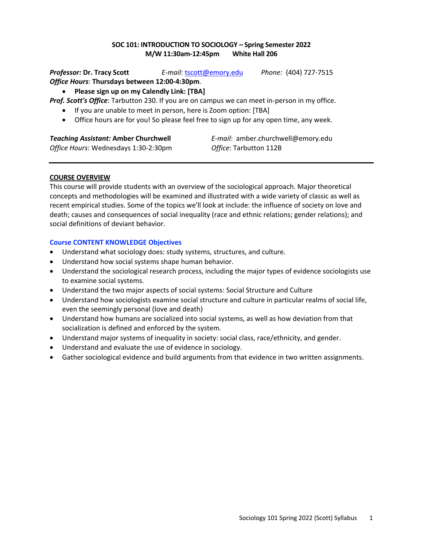# **SOC 101: INTRODUCTION TO SOCIOLOGY – Spring Semester 2022 M/W 11:30am-12:45pm White Hall 206**

*Professor:* **Dr. Tracy Scott** *E-mail*: tscott@emory.edu *Phone:* (404) 727-7515 *Office Hours:* **Thursdays between 12:00-4:30pm**.

# • **Please sign up on my Calendly Link: [TBA]**

*Prof. Scott's Office*: Tarbutton 230. If you are on campus we can meet in-person in my office.

- If you are unable to meet in person, here is Zoom option: [TBA]
- Office hours are for you! So please feel free to sign up for any open time, any week.

*Office Hours*: Wednesdays 1:30-2:30pm *Office*: Tarbutton 112B

*Teaching Assistant:* **Amber Churchwell** *E-mail*: amber.churchwell@emory.edu

### **COURSE OVERVIEW**

This course will provide students with an overview of the sociological approach. Major theoretical concepts and methodologies will be examined and illustrated with a wide variety of classic as well as recent empirical studies. Some of the topics we'll look at include: the influence of society on love and death; causes and consequences of social inequality (race and ethnic relations; gender relations); and social definitions of deviant behavior.

# **Course CONTENT KNOWLEDGE Objectives**

- Understand what sociology does: study systems, structures, and culture.
- Understand how social systems shape human behavior.
- Understand the sociological research process, including the major types of evidence sociologists use to examine social systems.
- Understand the two major aspects of social systems: Social Structure and Culture
- Understand how sociologists examine social structure and culture in particular realms of social life, even the seemingly personal (love and death)
- Understand how humans are socialized into social systems, as well as how deviation from that socialization is defined and enforced by the system.
- Understand major systems of inequality in society: social class, race/ethnicity, and gender.
- Understand and evaluate the use of evidence in sociology.
- Gather sociological evidence and build arguments from that evidence in two written assignments.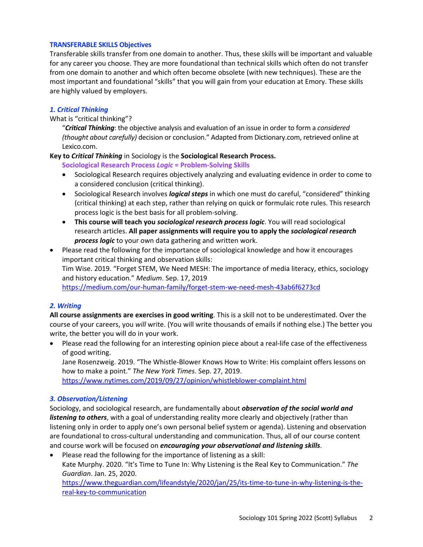#### **TRANSFERABLE SKILLS Objectives**

Transferable skills transfer from one domain to another. Thus, these skills will be important and valuable for any career you choose. They are more foundational than technical skills which often do not transfer from one domain to another and which often become obsolete (with new techniques). These are the most important and foundational "skills" that you will gain from your education at Emory. These skills are highly valued by employers.

### *1. Critical Thinking*

What is "critical thinking"?

"*Critical Thinking*: the objective analysis and evaluation of an issue in order to form a *considered (thought about carefully)* decision or conclusion." Adapted from Dictionary.com, retrieved online at Lexico.com.

#### **Key to** *Critical Thinking* in Sociology is the **Sociological Research Process.**

**Sociological Research Process** *Logic* **= Problem-Solving Skills**

- Sociological Research requires objectively analyzing and evaluating evidence in order to come to a considered conclusion (critical thinking).
- Sociological Research involves *logical steps* in which one must do careful, "considered" thinking (critical thinking) at each step, rather than relying on quick or formulaic rote rules. This research process logic is the best basis for all problem-solving.
- **This course will teach you** *sociological research process logic*. You will read sociological research articles. **All paper assignments will require you to apply the** *sociological research process logic* to your own data gathering and written work.
- Please read the following for the importance of sociological knowledge and how it encourages important critical thinking and observation skills: Tim Wise. 2019. "Forget STEM, We Need MESH: The importance of media literacy, ethics, sociology and history education." *Medium*. Sep. 17, 2019 https://medium.com/our-human-family/forget-stem-we-need-mesh-43ab6f6273cd

### *2. Writing*

**All course assignments are exercises in good writing**. This is a skill not to be underestimated. Over the course of your careers, you *will* write. (You will write thousands of emails if nothing else.) The better you write, the better you will do in your work.

• Please read the following for an interesting opinion piece about a real-life case of the effectiveness of good writing.

Jane Rosenzweig. 2019. "The Whistle-Blower Knows How to Write: His complaint offers lessons on how to make a point." *The New York Times*. Sep. 27, 2019.

https://www.nytimes.com/2019/09/27/opinion/whistleblower-complaint.html

### *3. Observation/Listening*

Sociology, and sociological research, are fundamentally about *observation of the social world and listening to others*, with a goal of understanding reality more clearly and objectively (rather than listening only in order to apply one's own personal belief system or agenda). Listening and observation are foundational to cross-cultural understanding and communication. Thus, all of our course content and course work will be focused on *encouraging your observational and listening skills*.

• Please read the following for the importance of listening as a skill: Kate Murphy. 2020. "It's Time to Tune In: Why Listening is the Real Key to Communication." *The Guardian*. Jan. 25, 2020. https://www.theguardian.com/lifeandstyle/2020/jan/25/its-time-to-tune-in-why-listening-is-thereal-key-to-communication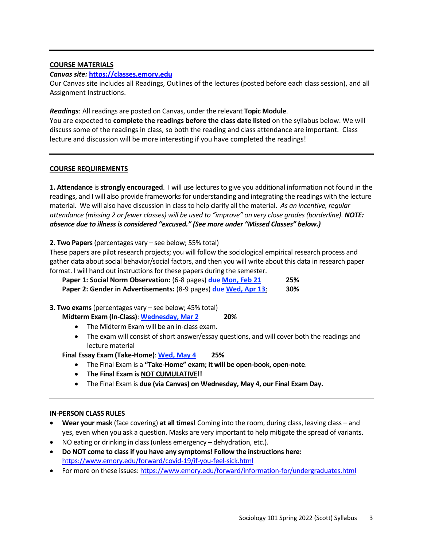### **COURSE MATERIALS**

### *Canvas site:* **https://classes.emory.edu**

Our Canvas site includes all Readings, Outlines of the lectures (posted before each class session), and all Assignment Instructions.

*Readings*: All readings are posted on Canvas, under the relevant **Topic Module**.

You are expected to **complete the readings before the class date listed** on the syllabus below. We will discuss some of the readings in class, so both the reading and class attendance are important. Class lecture and discussion will be more interesting if you have completed the readings!

#### **COURSE REQUIREMENTS**

**1. Attendance** is **strongly encouraged**. I will use lectures to give you additional information not found in the readings, and I will also provide frameworks for understanding and integrating the readings with the lecture material. We will also have discussion in classto help clarify all the material. *As an incentive, regular attendance (missing 2 or fewer classes) will be used to "improve" on very close grades (borderline). NOTE: absence due to illness is considered "excused." (See more under "Missed Classes" below.)*

**2. Two Papers**(percentages vary – see below; 55% total)

These papers are pilot research projects; you will follow the sociological empirical research process and gather data about social behavior/social factors, and then you will write about this data in research paper format. I will hand out instructions for these papers during the semester.

| Paper 1: Social Norm Observation: (6-8 pages) due Mon, Feb 21          | 25% |
|------------------------------------------------------------------------|-----|
| <b>Paper 2: Gender in Advertisements: (8-9 pages) due Wed, Apr 13:</b> | 30% |

**3. Two exams**(percentages vary – see below; 45% total)

- **Midterm Exam (In-Class)**: **Wednesday, Mar 2 20%**
	- The Midterm Exam will be an in-class exam.
	- The exam will consist of short answer/essay questions, and will cover both the readings and lecture material
- **Final Essay Exam (Take-Home)**: **Wed, May 4 25%**
	- The Final Exam is a **"Take-Home" exam; it will be open-book, open-note**.
	- **The Final Exam is NOT CUMULATIVE!!**
	- The Final Exam is **due (via Canvas) on Wednesday, May 4, our Final Exam Day.**

### **IN-PERSON CLASS RULES**

- **Wear your mask** (face covering) **at all times!** Coming into the room, during class, leaving class and yes, even when you ask a question. Masks are very important to help mitigate the spread of variants.
- NO eating or drinking in class (unless emergency dehydration, etc.).
- **Do NOT come to class if you have any symptoms! Follow the instructions here:** https://www.emory.edu/forward/covid-19/if-you-feel-sick.html
- For more on these issues: https://www.emory.edu/forward/information-for/undergraduates.html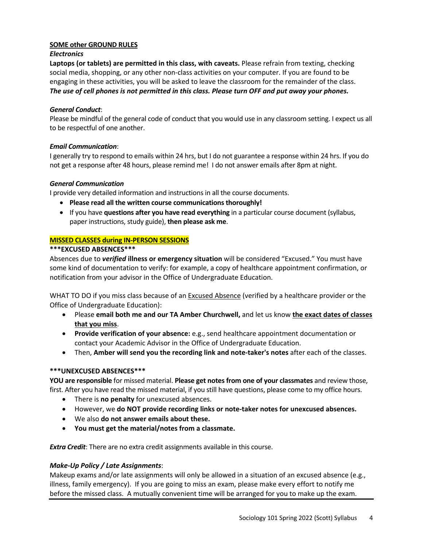### **SOME other GROUND RULES**

# *Electronics*

**Laptops (or tablets) are permitted in this class, with caveats.** Please refrain from texting, checking social media, shopping, or any other non-class activities on your computer. If you are found to be engaging in these activities, you will be asked to leave the classroom for the remainder of the class. *The use of cell phones is not permitted in this class. Please turn OFF and put away your phones.*

# *General Conduct*:

Please be mindful of the general code of conduct that you would use in any classroom setting. I expect us all to be respectful of one another.

# *Email Communication*:

I generally try to respond to emails within 24 hrs, but I do not guarantee a response within 24 hrs. If you do not get a response after 48 hours, please remind me! I do not answer emails after 8pm at night.

# *General Communication*

I provide very detailed information and instructions in all the course documents.

- **Please read all the written course communications thoroughly!**
- If you have **questions after you have read everything** in a particular course document (syllabus, paper instructions, study guide), **then please ask me**.

# **MISSED CLASSES during IN-PERSON SESSIONS**

# **\*\*\*EXCUSED ABSENCES\*\*\***

Absences due to *verified* **illness or emergency situation** will be considered "Excused." You must have some kind of documentation to verify: for example, a copy of healthcare appointment confirmation, or notification from your advisor in the Office of Undergraduate Education.

WHAT TO DO if you miss class because of an **Excused Absence** (verified by a healthcare provider or the Office of Undergraduate Education):

- Please **email both me and our TA Amber Churchwell,** and let us know **the exact dates of classes that you miss**.
- **Provide verification of your absence:** e.g., send healthcare appointment documentation or contact your Academic Advisor in the Office of Undergraduate Education.
- Then, **Amber will send you the recording link and note-taker's notes** after each of the classes.

### **\*\*\*UNEXCUSED ABSENCES\*\*\***

**YOU are responsible** for missed material. **Please get notes from one of your classmates** and review those, first. After you have read the missed material, if you still have questions, please come to my office hours.

- There is **no penalty** for unexcused absences.
- However, we **do NOT provide recording links or note-taker notes for unexcused absences.**
- We also **do not answer emails about these.**
- **You must get the material/notes from a classmate.**

*Extra Credit*: There are no extra credit assignments available in this course.

### *Make-Up Policy / Late Assignments*:

Makeup exams and/or late assignments will only be allowed in a situation of an excused absence (e.g., illness, family emergency). If you are going to miss an exam, please make every effort to notify me before the missed class. A mutually convenient time will be arranged for you to make up the exam.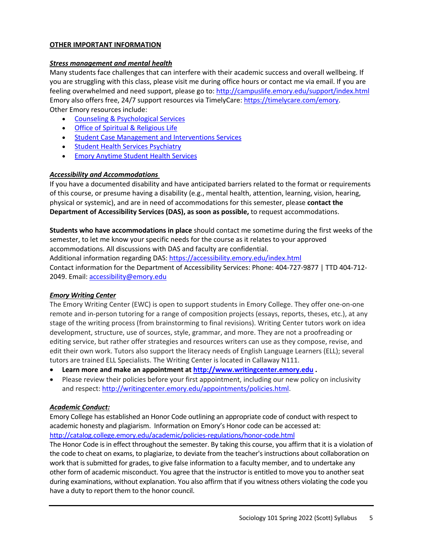### **OTHER IMPORTANT INFORMATION**

# *Stress management and mental health*

Many students face challenges that can interfere with their academic success and overall wellbeing. If you are struggling with this class, please visit me during office hours or contact me via email. If you are feeling overwhelmed and need support, please go to: http://campuslife.emory.edu/support/index.html Emory also offers free, 24/7 support resources via TimelyCare: https://timelycare.com/emory. Other Emory resources include:

- Counseling & Psychological Services
- Office of Spiritual & Religious Life
- Student Case Management and Interventions Services
- Student Health Services Psychiatry
- Emory Anytime Student Health Services

# *Accessibility and Accommodations*

If you have a documented disability and have anticipated barriers related to the format or requirements of this course, or presume having a disability (e.g., mental health, attention, learning, vision, hearing, physical or systemic), and are in need of accommodations for this semester, please **contact the Department of Accessibility Services (DAS), as soon as possible,** to request accommodations.

**Students who have accommodations in place** should contact me sometime during the first weeks of the semester, to let me know your specific needs for the course as it relates to your approved accommodations. All discussions with DAS and faculty are confidential. Additional information regarding DAS: https://accessibility.emory.edu/index.html Contact information for the Department of Accessibility Services: Phone: 404-727-9877 | TTD 404-712- 2049. Email: accessibility@emory.edu

# *Emory Writing Center*

The Emory Writing Center (EWC) is open to support students in Emory College. They offer one-on-one remote and in-person tutoring for a range of composition projects (essays, reports, theses, etc.), at any stage of the writing process (from brainstorming to final revisions). Writing Center tutors work on idea development, structure, use of sources, style, grammar, and more. They are not a proofreading or editing service, but rather offer strategies and resources writers can use as they compose, revise, and edit their own work. Tutors also support the literacy needs of English Language Learners (ELL); several tutors are trained ELL Specialists. The Writing Center is located in Callaway N111.

- **Learn more and make an appointment at http://www.writingcenter.emory.edu .**
- Please review their policies before your first appointment, including our new policy on inclusivity and respect: http://writingcenter.emory.edu/appointments/policies.html.

### *Academic Conduct:*

Emory College has established an Honor Code outlining an appropriate code of conduct with respect to academic honesty and plagiarism. Information on Emory's Honor code can be accessed at: http://catalog.college.emory.edu/academic/policies-regulations/honor-code.html

The Honor Code is in effect throughout the semester. By taking this course, you affirm that it is a violation of the code to cheat on exams, to plagiarize, to deviate from the teacher's instructions about collaboration on work that is submitted for grades, to give false information to a faculty member, and to undertake any other form of academic misconduct. You agree that the instructor is entitled to move you to another seat during examinations, without explanation. You also affirm that if you witness others violating the code you have a duty to report them to the honor council.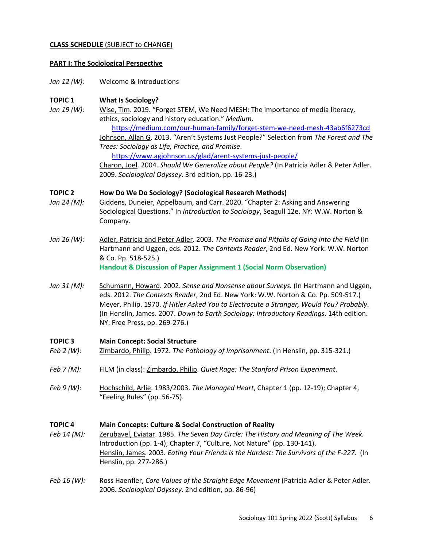#### **CLASS SCHEDULE** (SUBJECT to CHANGE)

#### **PART I: The Sociological Perspective**

*Jan 12 (W):* Welcome & Introductions

### **TOPIC 1 What Is Sociology?**

*Jan 19 (W):* Wise, Tim. 2019. "Forget STEM, We Need MESH: The importance of media literacy, ethics, sociology and history education." *Medium*.

https://medium.com/our-human-family/forget-stem-we-need-mesh-43ab6f6273cd Johnson, Allan G. 2013. "Aren't Systems Just People?" Selection from *The Forest and The Trees: Sociology as Life, Practice, and Promise*.

https://www.agjohnson.us/glad/arent-systems-just-people/ Charon, Joel. 2004. *Should We Generalize about People?* (In Patricia Adler & Peter Adler. 2009. *Sociological Odyssey*. 3rd edition, pp. 16-23.)

#### **TOPIC 2 How Do We Do Sociology? (Sociological Research Methods)**

- *Jan 24 (M):* Giddens, Duneier, Appelbaum, and Carr. 2020. "Chapter 2: Asking and Answering Sociological Questions." In *Introduction to Sociology*, Seagull 12e. NY: W.W. Norton & Company.
- *Jan 26 (W):* Adler, Patricia and Peter Adler. 2003. *The Promise and Pitfalls of Going into the Field* (In Hartmann and Uggen, eds. 2012. *The Contexts Reader*, 2nd Ed. New York: W.W. Norton & Co. Pp. 518-525.) **Handout & Discussion of Paper Assignment 1 (Social Norm Observation)**
- *Jan 31 (M):* Schumann, Howard. 2002. *Sense and Nonsense about Surveys.* (In Hartmann and Uggen, eds. 2012. *The Contexts Reader*, 2nd Ed. New York: W.W. Norton & Co. Pp. 509-517.) Meyer, Philip. 1970. *If Hitler Asked You to Electrocute a Stranger, Would You? Probably*. (In Henslin, James. 2007. *Down to Earth Sociology: Introductory Readings*. 14th edition. NY: Free Press, pp. 269-276.)

### **TOPIC 3 Main Concept: Social Structure**

- *Feb 2 (W):* Zimbardo, Philip. 1972. *The Pathology of Imprisonment*. (In Henslin, pp. 315-321.)
- *Feb 7 (M):* FILM (in class): Zimbardo, Philip. *Quiet Rage: The Stanford Prison Experiment*.
- *Feb 9 (W):* Hochschild, Arlie. 1983/2003. *The Managed Heart*, Chapter 1 (pp. 12-19); Chapter 4, "Feeling Rules" (pp. 56-75).

#### **TOPIC 4 Main Concepts: Culture & Social Construction of Reality**

- *Feb 14 (M):* Zerubavel, Eviatar. 1985. *The Seven Day Circle: The History and Meaning of The Week.* Introduction (pp. 1-4); Chapter 7, "Culture, Not Nature" (pp. 130-141). Henslin, James. 2003*. Eating Your Friends is the Hardest: The Survivors of the F-227*. (In Henslin, pp. 277-286.)
- *Feb 16 (W):* Ross Haenfler, *Core Values of the Straight Edge Movement* (Patricia Adler & Peter Adler. 2006. *Sociological Odyssey*. 2nd edition, pp. 86-96)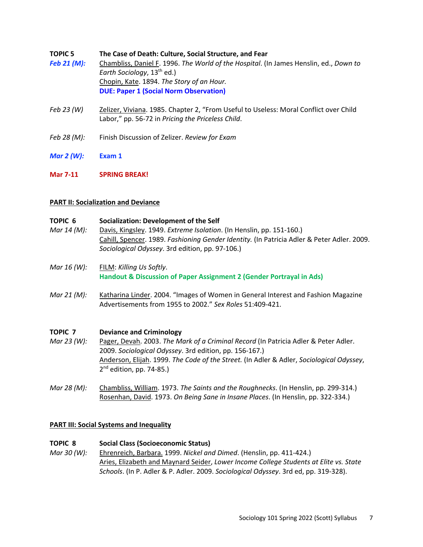| TOPIC 5     | The Case of Death: Culture. Social Structure. and Fear                                |
|-------------|---------------------------------------------------------------------------------------|
| Feb 21 (M): | Chambliss, Daniel F. 1996. The World of the Hospital. (In James Henslin, ed., Down to |
|             | Earth Sociology, 13 <sup>th</sup> ed.)                                                |
|             | Chopin, Kate. 1894. The Story of an Hour.                                             |
|             | <b>DUE: Paper 1 (Social Norm Observation)</b>                                         |
|             |                                                                                       |

- *Feb 23 (W)* Zelizer, Viviana. 1985. Chapter 2, "From Useful to Useless: Moral Conflict over Child Labor," pp. 56-72 in *Pricing the Priceless Child*.
- *Feb 28 (M):* Finish Discussion of Zelizer. *Review for Exam*
- *Mar 2 (W):* **Exam 1**
- **Mar 7-11 SPRING BREAK!**

### **PART II: Socialization and Deviance**

- **TOPIC 6 Socialization: Development of the Self** *Mar 14 (M):* Davis, Kingsley. 1949. *Extreme Isolation*. (In Henslin, pp. 151-160.) Cahill, Spencer. 1989. *Fashioning Gender Identity.* (In Patricia Adler & Peter Adler. 2009. *Sociological Odyssey*. 3rd edition, pp. 97-106.)
- *Mar 16 (W):* FILM: *Killing Us Softly*. **Handout & Discussion of Paper Assignment 2 (Gender Portrayal in Ads)**
- *Mar 21 (M):* Katharina Linder. 2004. "Images of Women in General Interest and Fashion Magazine Advertisements from 1955 to 2002." *Sex Roles* 51:409-421.

# **TOPIC 7 Deviance and Criminology**

- *Mar 23 (W):* Pager, Devah. 2003. *The Mark of a Criminal Record (In Patricia Adler & Peter Adler.* 2009. *Sociological Odyssey*. 3rd edition, pp. 156-167.) Anderson, Elijah. 1999. *The Code of the Street.* (In Adler & Adler, *Sociological Odyssey*,  $2<sup>nd</sup>$  edition, pp. 74-85.)
- *Mar 28 (M):* Chambliss, William. 1973. *The Saints and the Roughnecks*. (In Henslin, pp. 299-314.) Rosenhan, David. 1973. *On Being Sane in Insane Places*. (In Henslin, pp. 322-334.)

# **PART III: Social Systems and Inequality**

### **TOPIC 8 Social Class (Socioeconomic Status)**

*Mar 30 (W):* Ehrenreich, Barbara. 1999. *Nickel and Dimed*. (Henslin, pp. 411-424.) Aries, Elizabeth and Maynard Seider, *Lower Income College Students at Elite vs. State Schools*. (In P. Adler & P. Adler. 2009. *Sociological Odyssey*. 3rd ed, pp. 319-328).